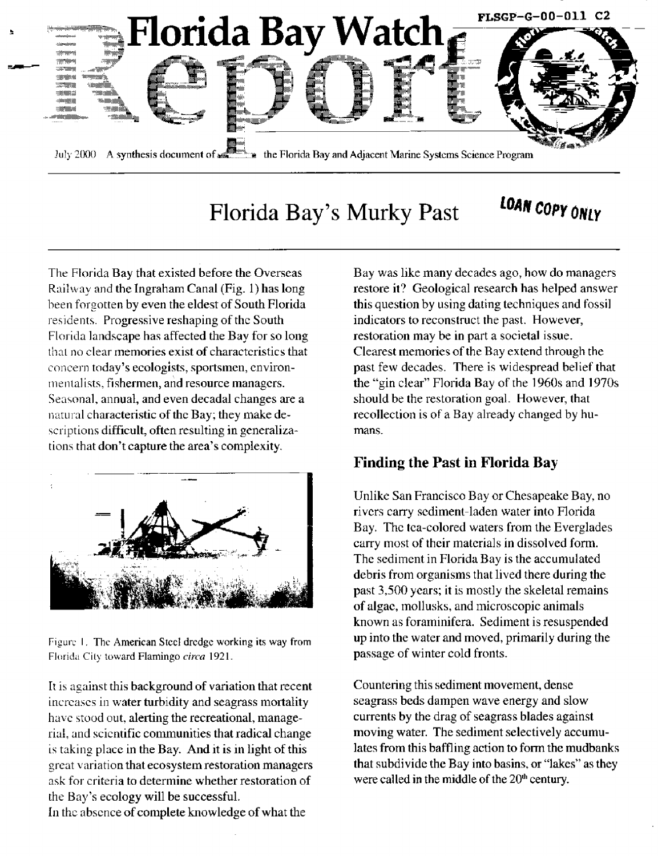

# Florida Bay's Murky Past  $+$  COAN COPY ONLY

The Florida Bay that existed before the Overseas Railway and the Ingraham Canal (Fig.  $1$ ) has long been forgotten by even the eldest of South Florida residents. Progressive reshaping of the South Florida landscape has affected the Bay for so long that no clear memories exist of characteristics that concern today's ecologists, sportsmen, environmentalists, fishermen, and resource managers. Seasonal, annual, and even decadal changes are a natural characteristic of the Bay; they make descriptions difficult, often resulting in generalizations that don't capture the area's complexity.



Figure 1. The American Steel dredge working its way from Florida City toward Flamingo circa 1921.

It is against this background of variation that recent increases in water turbidity and seagrass mortality have stood out, alerting the recreational, managerial, and scientific communities that radical change is taking place in the Bay. And it is in light of this great variation that ecosystem restoration managers ask for criteria to determine whether restoration of the Bay's ecology will be successful.

In the absence of complete knowledge of what the

Bay was like many decades ago, how do managers restore it? Geological research has helped answer this question by using dating techniques and fossil indicators to reconstruct the past, However, restoration may be in part a societal issue. Clearest memories of the Bay extend through the past few decades. There is widespread belief that the "gin clear" Florida Bay of the 1960s and 1970s should be the restoration goal. However, that reco1lection is of a Bay already changed by humans,

## **Finding the Past in Florida Bay**

Unlike San Francisco Bay or Chesapeake Bay, no rivers carry sediment-laden water into Florida Bay. Thc tca-colored waters from the Everglades carry most of their materials in dissolved form. The sediment in Florida Bay is the accumulated debris from organisms that lived there during the past 3,500 years; it is mostly the skeletal remains of algae, mollusks, and microscopic animals known as foraminifera. Sediment is resuspended up into the water and moved, primarily during the passage of winter cold fronts.

Countering this sediment movement, dense seagrass beds dampen wave energy and slow currents by the drag of seagrass blades against moving water. The sediment selectively accumulates from this baffling action to form the mudbanks that subdivide the Bay into basins, or "lakes" as they were called in the middle of the  $20<sup>th</sup>$  century,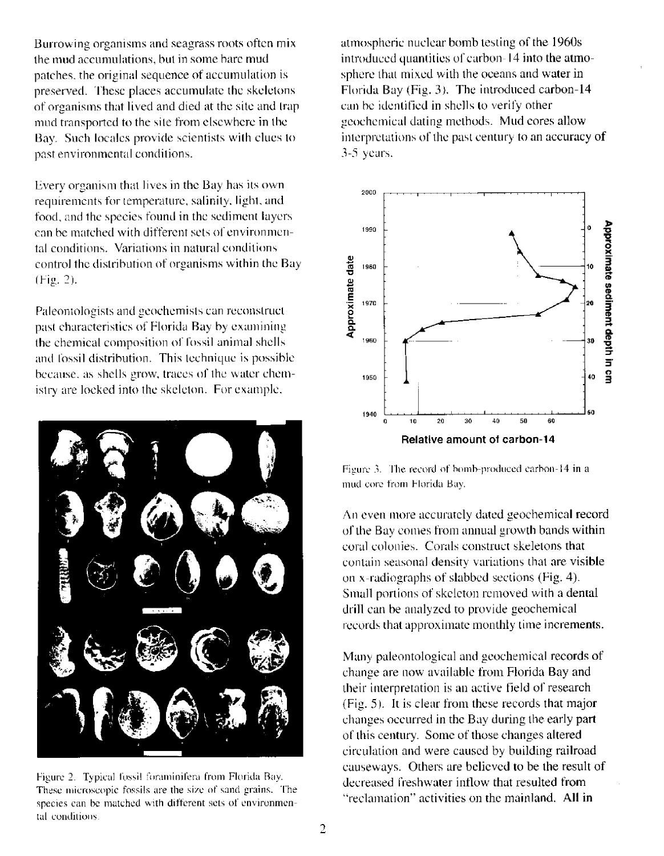Burrowing organisms and seagrass roots often mix the mud accumulations, but in some bare mud patches, the original sequence of accumulation is preserved. These places accumulate the skeletons of organisms that lived and died at the site and trap mud transported to the site from elsewhere in the Bay. Such locales provide scientists with clues to past environmental conditions.

Every organism that lives in the Bay has its own requirements for temperature, salinity, light, and food, and the species found in the sediment layers can be matched with different sets of environmental conditions. Variations in natural conditions control the distribution of organisms within the Bay (Fig. 2).

Paleontologists and geochemists can reconstruct past characteristics of Florida Bay by examining the chemical composition of fossil animal shells and fossil distribution. This technique is possible because, as shells grow, traces of the water chemistry are locked into the skeleton. For example,



Figure 2. Typical fossil foraminifera from Florida Bay. These microscopic fossils are the size of sand grains. The species can be matched with different sets of environmental conditions.

atmospheric nuclear bomb testing of the 1960s introduced quantities of carbon-14 into the atmosphere that mixed with the oceans and water in Florida Bay (Fig. 3). The introduced carbon-14 can be identified in shells to verify other geochemical dating methods. Mud cores allow interpretations of the past century to an accuracy of  $3-5$  years.



Figure 3. The record of bomb-produced carbon-14 in a mud core from Florida Bay.

An even more accurately dated geochemical record of the Bay comes from annual growth bands within coral colonies. Corals construct skeletons that contain seasonal density variations that are visible on x-radiographs of slabbed sections (Fig. 4). Small portions of skeleton removed with a dental drill can be analyzed to provide geochemical records that approximate monthly time increments.

Many paleontological and geochemical records of change are now available from Florida Bay and their interpretation is an active field of research (Fig. 5). It is clear from these records that major changes occurred in the Bay during the early part of this century. Some of those changes altered circulation and were caused by building railroad causeways. Others are believed to be the result of decreased freshwater inflow that resulted from "reclamation" activities on the mainland. All in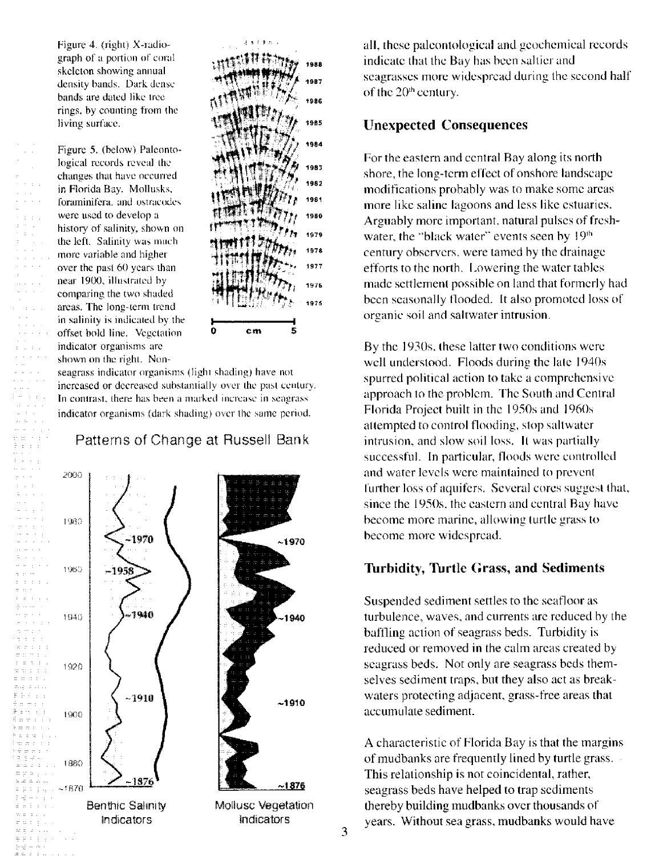Figure 4. (right) X-radiograph of a portion of coral skeleton showing annual density bands. Dark dense bands are dated like tree rings, by counting from the living surface.

Figure 5. (below) Paleontological records reveal the changes that have occurred in Florida Bay. Mollusks, foraminifera, and ostracodes were used to develop a history of salinity, shown on the left. Salinity was much more variable and higher over the past 60 years than near 1900, illustrated by comparing the two shaded areas. The long-term trend in salinity is indicated by the offset bold line. Vegetation indicator organisms are shown on the right. Non-

 $\bar{z}$  . and a state



seagrass indicator organisms (light shading) have not increased or decreased substantially over the past century. In contrast, there has been a marked increase in seagrass indicator organisms (dark shading) over the same period.

#### Patterns of Change at Russell Bank



all, these paleontological and geochemical records indicate that the Bay has been saltier and seagrasses more widespread during the second half of the 20<sup>th</sup> century.

## **Unexpected Consequences**

For the eastern and central Bay along its north shore, the long-term effect of onshore landscape modifications probably was to make some areas more like saline lagoons and less like estuaries. Arguably more important, natural pulses of freshwater, the "black water" events seen by 19th century observers, were tamed by the drainage efforts to the north. Lowering the water tables made settlement possible on land that formerly had been seasonally flooded. It also promoted loss of organic soil and saltwater intrusion.

By the 1930s, these latter two conditions were well understood. Floods during the late 1940s spurred political action to take a comprehensive approach to the problem. The South and Central Florida Project built in the 1950s and 1960s attempted to control flooding, stop saltwater intrusion, and slow soil loss. It was partially successful. In particular, floods were controlled and water levels were maintained to prevent further loss of aquifers. Several cores suggest that, since the 1950s, the eastern and central Bay have become more marine, allowing turtle grass to become more widespread.

#### **Turbidity, Turtle Grass, and Sediments**

Suspended sediment settles to the seafloor as turbulence, waves, and currents are reduced by the baffling action of seagrass beds. Turbidity is reduced or removed in the calm areas created by seagrass beds. Not only are seagrass beds themselves sediment traps, but they also act as breakwaters protecting adjacent, grass-free areas that accumulate sediment.

A characteristic of Florida Bay is that the margins of mudbanks are frequently lined by turtle grass. This relationship is not coincidental, rather, seagrass beds have helped to trap sediments thereby building mudbanks over thousands of years. Without sea grass, mudbanks would have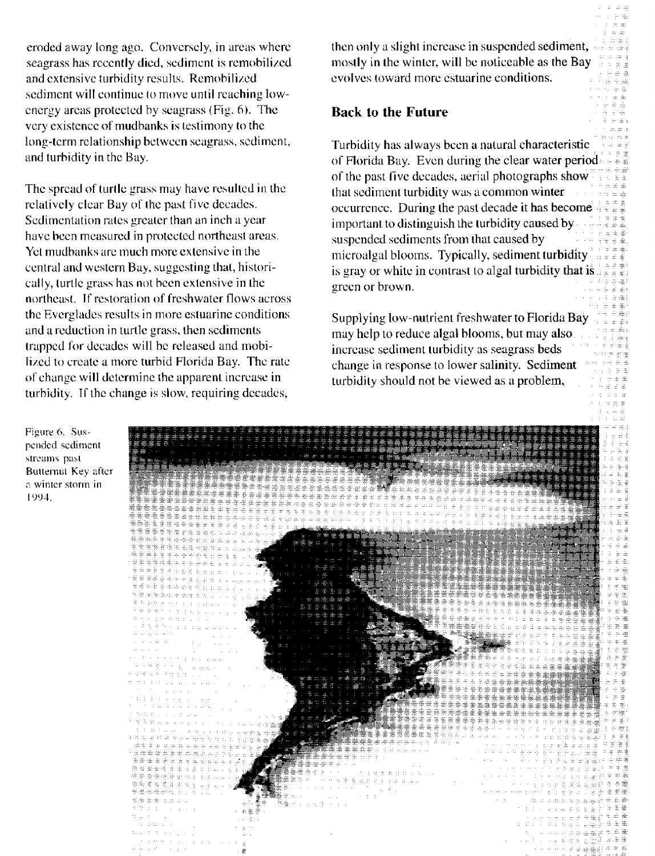eroded away long ago. Conversely, in areas where seagrass has recently died, sediment is remobilized and extensive turbidity results. Remobilized sediment will continue to move until reaching lowenergy areas protected by seagrass (Fig. 6). The very existence of mudbanks is testimony to the long-term relationship between seagrass, sediment, and turbidity in the Bay.

The spread of turtle grass may have resulted in the relatively clear Bay of the past five decades. Sedimentation rates greater than an inch a year have been measured in protected northeast areas. Yet mudbanks are much more extensive in the central and western Bay, suggesting that, historically, turtle grass has not been extensive in the northeast. If restoration of freshwater flows across the Everglades results in more estuarine conditions and a reduction in turtle grass, then sediments trapped for decades will be released and mobilized to create a more turbid Florida Bay. The rate of change will determine the apparent increase in turbidity. If the change is slow, requiring decades,

then only a slight increase in suspended sediment, mostly in the winter, will be noticeable as the Bay evolves toward more estuarine conditions.

### **Back to the Future**

Turbidity has always been a natural characteristic of Florida Bay. Even during the clear water period of the past five decades, aerial photographs show that sediment turbidity was a common winter occurrence. During the past decade it has become important to distinguish the turbidity caused by suspended sediments from that caused by microalgal blooms. Typically, sediment turbidity is gray or white in contrast to algal turbidity that is green or brown.

Supplying low-nutrient freshwater to Florida Bay may help to reduce algal blooms, but may also. increase sediment turbidity as seagrass beds change in response to lower salinity. Sediment turbidity should not be viewed as a problem,

Figure 6. Suspended sediment streams past Butternut Key after a winter storm in 1994.

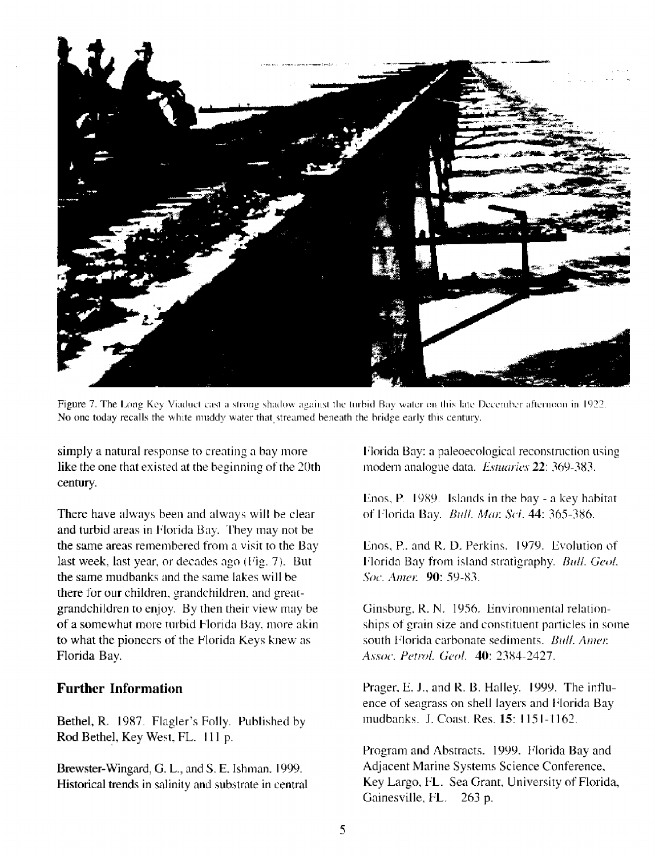

Figure 7. The Long Key Viaduct cast a strong shadow against the turbid Bay water on this late December afternoon in 1922. No one today recalls the white muddy water that streamed beneath the bridge early this century.

simply a natural response to creating a bay more like the one that existed at the beginning of the 20th century.

There have always been and always will be clear and turbid areas in Florida Bay. They may not be the same areas remembered from a visit to the Bay last week, last year, or decades ago (Fig. 7). But the same mudbanks and the same lakes will be there for our children, grandchildren, and greatgrandchildren to enjoy. By then their view may be of a somewhat more turbid Florida Bay, more akin to what the pioneers of the Florida Keys knew as Florida Bay.

## **Further Information**

Bethel, R. 1987. Flagler's Folly. Published by Rod Bethel, Key West, FL. 111 p.

Brewster-Wingard, G. L., and S. E. Ishman. 1999. Historical trends in salinity and substrate in central Florida Bay: a paleoecological reconstruction using modern analogue data. Estuaries 22: 369-383.

Enos, P. 1989. Islands in the bay - a key habitat of Florida Bay. Bull. Mar. Sci. 44: 365-386.

Enos, P., and R. D. Perkins. 1979. Evolution of Florida Bay from island stratigraphy. Bull. Geol. Soc. Amer. 90: 59-83.

Ginsburg, R. N. 1956. Environmental relationships of grain size and constituent particles in some south Florida carbonate sediments. Bull. Amer. Assoc. Petrol. Geol. 40: 2384-2427.

Prager, E. J., and R. B. Halley. 1999. The influence of seagrass on shell layers and Florida Bay mudbanks. J. Coast. Res. 15: 1151-1162.

Program and Abstracts. 1999. Florida Bay and Adjacent Marine Systems Science Conference, Key Largo, FL. Sea Grant, University of Florida, Gainesville, FL. 263 p.